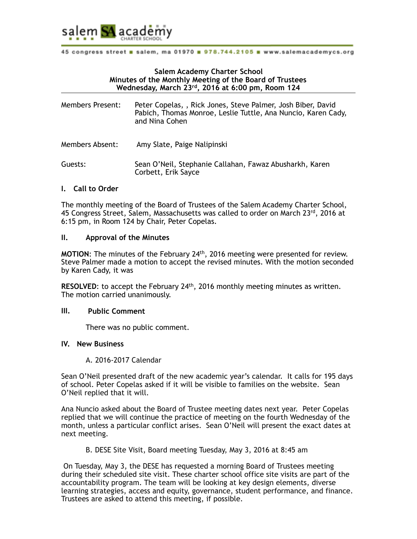

## **Salem Academy Charter School Minutes of the Monthly Meeting of the Board of Trustees Wednesday, March 23rd, 2016 at 6:00 pm, Room 124**

| <b>Members Present:</b> | Peter Copelas, , Rick Jones, Steve Palmer, Josh Biber, David<br>Pabich, Thomas Monroe, Leslie Tuttle, Ana Nuncio, Karen Cady,<br>and Nina Cohen |
|-------------------------|-------------------------------------------------------------------------------------------------------------------------------------------------|
| Members Absent:         | Amy Slate, Paige Nalipinski                                                                                                                     |
| Guests:                 | Sean O'Neil, Stephanie Callahan, Fawaz Abusharkh, Karen                                                                                         |

Corbett, Erik Sayce

## **I. Call to Order**

The monthly meeting of the Board of Trustees of the Salem Academy Charter School, 45 Congress Street, Salem, Massachusetts was called to order on March 23rd, 2016 at 6:15 pm, in Room 124 by Chair, Peter Copelas.

#### **II. Approval of the Minutes**

**MOTION**: The minutes of the February 24th, 2016 meeting were presented for review. Steve Palmer made a motion to accept the revised minutes. With the motion seconded by Karen Cady, it was

**RESOLVED**: to accept the February 24<sup>th</sup>, 2016 monthly meeting minutes as written. The motion carried unanimously.

#### **III. Public Comment**

There was no public comment.

#### **IV. New Business**

A. 2016-2017 Calendar

Sean O'Neil presented draft of the new academic year's calendar. It calls for 195 days of school. Peter Copelas asked if it will be visible to families on the website. Sean O'Neil replied that it will.

Ana Nuncio asked about the Board of Trustee meeting dates next year. Peter Copelas replied that we will continue the practice of meeting on the fourth Wednesday of the month, unless a particular conflict arises. Sean O'Neil will present the exact dates at next meeting.

B. DESE Site Visit, Board meeting Tuesday, May 3, 2016 at 8:45 am

 On Tuesday, May 3, the DESE has requested a morning Board of Trustees meeting during their scheduled site visit. These charter school office site visits are part of the accountability program. The team will be looking at key design elements, diverse learning strategies, access and equity, governance, student performance, and finance. Trustees are asked to attend this meeting, if possible.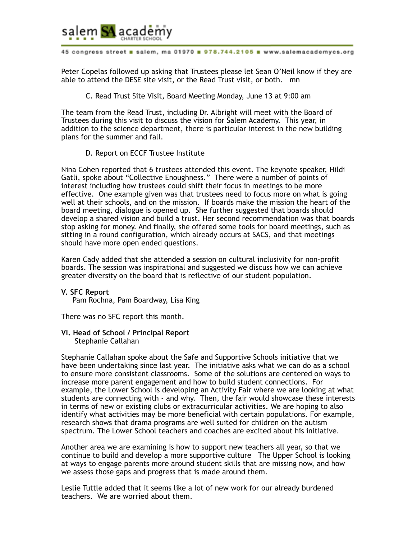

Peter Copelas followed up asking that Trustees please let Sean O'Neil know if they are able to attend the DESE site visit, or the Read Trust visit, or both. mn

C. Read Trust Site Visit, Board Meeting Monday, June 13 at 9:00 am

The team from the Read Trust, including Dr. Albright will meet with the Board of Trustees during this visit to discuss the vision for Salem Academy. This year, in addition to the science department, there is particular interest in the new building plans for the summer and fall.

D. Report on ECCF Trustee Institute

Nina Cohen reported that 6 trustees attended this event. The keynote speaker, Hildi Gatli, spoke about "Collective Enoughness." There were a number of points of interest including how trustees could shift their focus in meetings to be more effective. One example given was that trustees need to focus more on what is going well at their schools, and on the mission. If boards make the mission the heart of the board meeting, dialogue is opened up. She further suggested that boards should develop a shared vision and build a trust. Her second recommendation was that boards stop asking for money. And finally, she offered some tools for board meetings, such as sitting in a round configuration, which already occurs at SACS, and that meetings should have more open ended questions.

Karen Cady added that she attended a session on cultural inclusivity for non-profit boards. The session was inspirational and suggested we discuss how we can achieve greater diversity on the board that is reflective of our student population.

#### **V. SFC Report**

Pam Rochna, Pam Boardway, Lisa King

There was no SFC report this month.

**VI. Head of School / Principal Report**  Stephanie Callahan

Stephanie Callahan spoke about the Safe and Supportive Schools initiative that we have been undertaking since last year. The initiative asks what we can do as a school to ensure more consistent classrooms. Some of the solutions are centered on ways to increase more parent engagement and how to build student connections. For example, the Lower School is developing an Activity Fair where we are looking at what students are connecting with - and why. Then, the fair would showcase these interests in terms of new or existing clubs or extracurricular activities. We are hoping to also identify what activities may be more beneficial with certain populations. For example, research shows that drama programs are well suited for children on the autism spectrum. The Lower School teachers and coaches are excited about his initiative.

Another area we are examining is how to support new teachers all year, so that we continue to build and develop a more supportive culture The Upper School is looking at ways to engage parents more around student skills that are missing now, and how we assess those gaps and progress that is made around them.

Leslie Tuttle added that it seems like a lot of new work for our already burdened teachers. We are worried about them.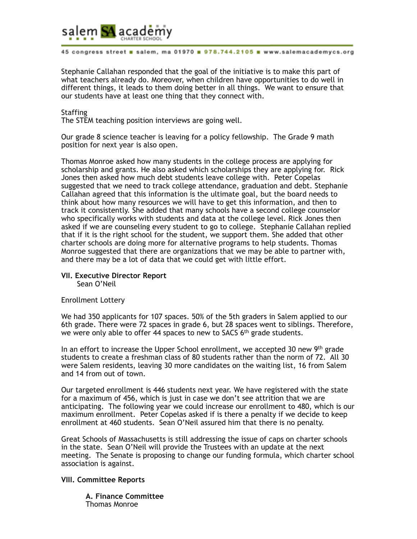

Stephanie Callahan responded that the goal of the initiative is to make this part of what teachers already do. Moreover, when children have opportunities to do well in different things, it leads to them doing better in all things. We want to ensure that our students have at least one thing that they connect with.

#### **Staffing**

The STEM teaching position interviews are going well.

Our grade 8 science teacher is leaving for a policy fellowship. The Grade 9 math position for next year is also open.

Thomas Monroe asked how many students in the college process are applying for scholarship and grants. He also asked which scholarships they are applying for. Rick Jones then asked how much debt students leave college with. Peter Copelas suggested that we need to track college attendance, graduation and debt. Stephanie Callahan agreed that this information is the ultimate goal, but the board needs to think about how many resources we will have to get this information, and then to track it consistently. She added that many schools have a second college counselor who specifically works with students and data at the college level. Rick Jones then asked if we are counseling every student to go to college. Stephanie Callahan replied that if it is the right school for the student, we support them. She added that other charter schools are doing more for alternative programs to help students. Thomas Monroe suggested that there are organizations that we may be able to partner with, and there may be a lot of data that we could get with little effort.

#### **VII. Executive Director Report**  Sean O'Neil

## Enrollment Lottery

We had 350 applicants for 107 spaces. 50% of the 5th graders in Salem applied to our 6th grade. There were 72 spaces in grade 6, but 28 spaces went to siblings. Therefore, we were only able to offer 44 spaces to new to SACS  $6<sup>th</sup>$  grade students.

In an effort to increase the Upper School enrollment, we accepted 30 new 9th grade students to create a freshman class of 80 students rather than the norm of 72. All 30 were Salem residents, leaving 30 more candidates on the waiting list, 16 from Salem and 14 from out of town.

Our targeted enrollment is 446 students next year. We have registered with the state for a maximum of 456, which is just in case we don't see attrition that we are anticipating. The following year we could increase our enrollment to 480, which is our maximum enrollment. Peter Copelas asked if is there a penalty if we decide to keep enrollment at 460 students. Sean O'Neil assured him that there is no penalty.

Great Schools of Massachusetts is still addressing the issue of caps on charter schools in the state. Sean O'Neil will provide the Trustees with an update at the next meeting. The Senate is proposing to change our funding formula, which charter school association is against.

## **VIII. Committee Reports**

**A. Finance Committee**  Thomas Monroe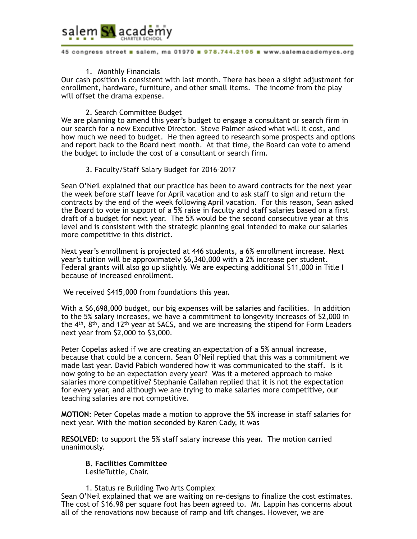

#### 1. Monthly Financials

Our cash position is consistent with last month. There has been a slight adjustment for enrollment, hardware, furniture, and other small items. The income from the play will offset the drama expense.

#### 2. Search Committee Budget

We are planning to amend this year's budget to engage a consultant or search firm in our search for a new Executive Director. Steve Palmer asked what will it cost, and how much we need to budget. He then agreed to research some prospects and options and report back to the Board next month. At that time, the Board can vote to amend the budget to include the cost of a consultant or search firm.

## 3. Faculty/Staff Salary Budget for 2016-2017

Sean O'Neil explained that our practice has been to award contracts for the next year the week before staff leave for April vacation and to ask staff to sign and return the contracts by the end of the week following April vacation. For this reason, Sean asked the Board to vote in support of a 5% raise in faculty and staff salaries based on a first draft of a budget for next year. The 5% would be the second consecutive year at this level and is consistent with the strategic planning goal intended to make our salaries more competitive in this district.

Next year's enrollment is projected at 446 students, a 6% enrollment increase. Next year's tuition will be approximately \$6,340,000 with a 2% increase per student. Federal grants will also go up slightly. We are expecting additional \$11,000 in Title I because of increased enrollment.

We received \$415,000 from foundations this year.

With a \$6,698,000 budget, our big expenses will be salaries and facilities. In addition to the 5% salary increases, we have a commitment to longevity increases of \$2,000 in the  $4<sup>th</sup>$ ,  $8<sup>th</sup>$ , and 12<sup>th</sup> year at SACS, and we are increasing the stipend for Form Leaders next year from \$2,000 to \$3,000.

Peter Copelas asked if we are creating an expectation of a 5% annual increase, because that could be a concern. Sean O'Neil replied that this was a commitment we made last year. David Pabich wondered how it was communicated to the staff. Is it now going to be an expectation every year? Was it a metered approach to make salaries more competitive? Stephanie Callahan replied that it is not the expectation for every year, and although we are trying to make salaries more competitive, our teaching salaries are not competitive.

**MOTION**: Peter Copelas made a motion to approve the 5% increase in staff salaries for next year. With the motion seconded by Karen Cady, it was

**RESOLVED**: to support the 5% staff salary increase this year. The motion carried unanimously.

# **B. Facilities Committee**

LeslieTuttle, Chair.

## 1. Status re Building Two Arts Complex

Sean O'Neil explained that we are waiting on re-designs to finalize the cost estimates. The cost of \$16.98 per square foot has been agreed to. Mr. Lappin has concerns about all of the renovations now because of ramp and lift changes. However, we are